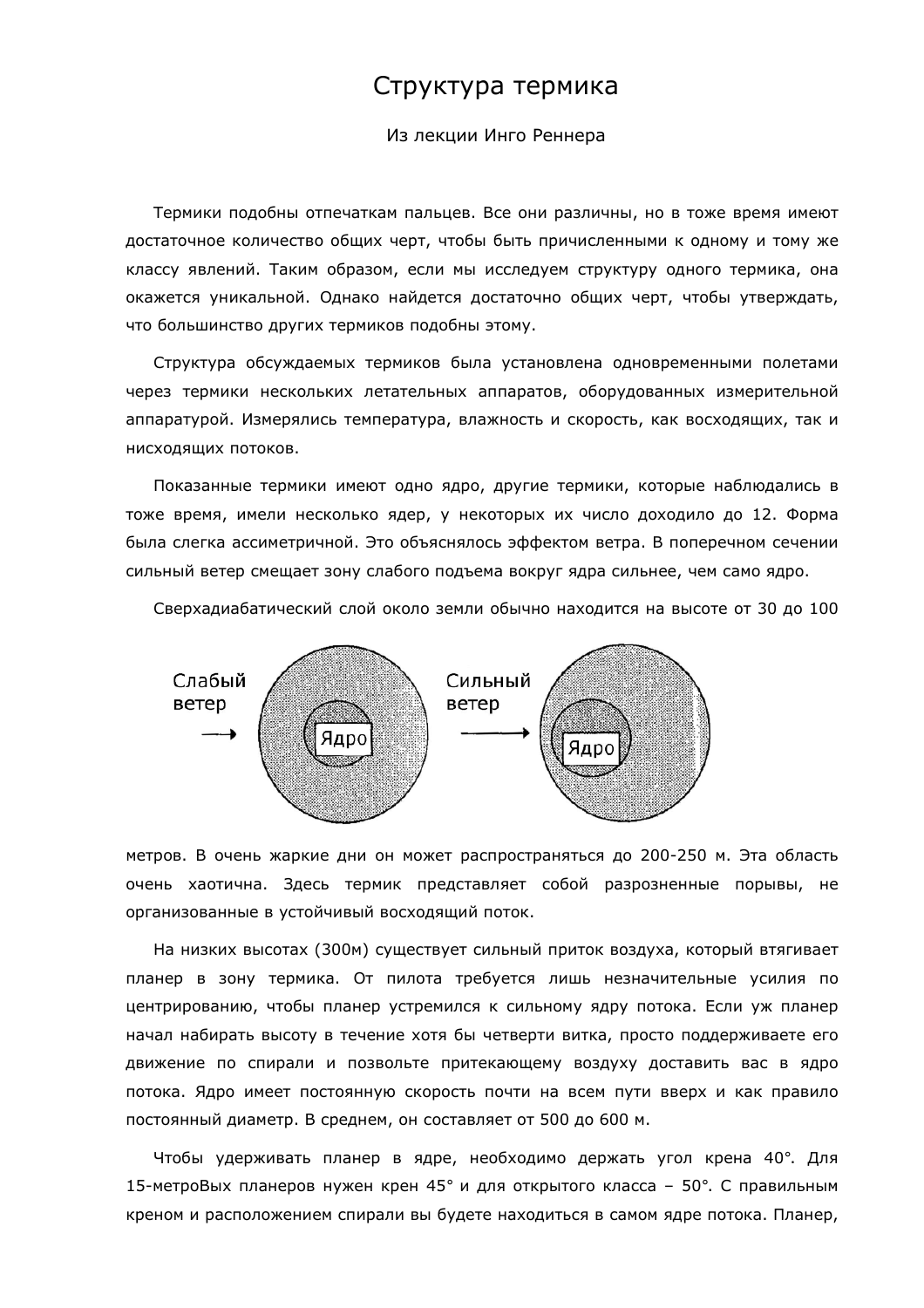## Структура термика

Из лекции Инго Реннера

Термики подобны отпечаткам пальцев. Все они различны, но в тоже время имеют достаточное количество общих черт, чтобы быть причисленными к одному и тому же классу явлений. Таким образом, если мы исследуем структуру одного термика, она окажется уникальной. Однако найдется достаточно общих черт, чтобы утверждать, что большинство других термиков подобны этому.

Структура обсуждаемых термиков была установлена одновременными полетами через термики нескольких летательных аппаратов, оборудованных измерительной аппаратурой. Измерялись температура, влажность и скорость, как восходящих, так и нисходящих потоков.

Показанные термики имеют одно ядро, другие термики, которые наблюдались в тоже время, имели несколько ядер, у некоторых их число доходило до 12. Форма была слегка ассиметричной. Это объяснялось эффектом ветра. В поперечном сечении сильный ветер смещает зону слабого подъема вокруг ядра сильнее, чем само ядро.

Сверхадиабатический слой около земли обычно находится на высоте от 30 до 100



метров. В очень жаркие дни он может распространяться до 200-250 м. Эта область очень хаотична. Здесь термик представляет собой разрозненные порывы, не организованные в устойчивый восходящий поток.

На низких высотах (300м) существует сильный приток воздуха, который втягивает планер в зону термика. От пилота требуется лишь незначительные усилия по центрированию, чтобы планер устремился к сильному ядру потока. Если уж планер начал набирать высоту в течение хотя бы четверти витка, просто поддерживаете его движение по спирали и позвольте притекающему воздуху доставить вас в ядро потока. Ядро имеет постоянную скорость почти на всем пути вверх и как правило постоянный диаметр. В среднем, он составляет от 500 до 600 м.

Чтобы удерживать планер в ядре, необходимо держать угол крена 40°. Для 15-метроВых планеров нужен крен 45° и для открытого класса - 50°. С правильным креном и расположением спирали вы будете находиться в самом ядре потока. Планер,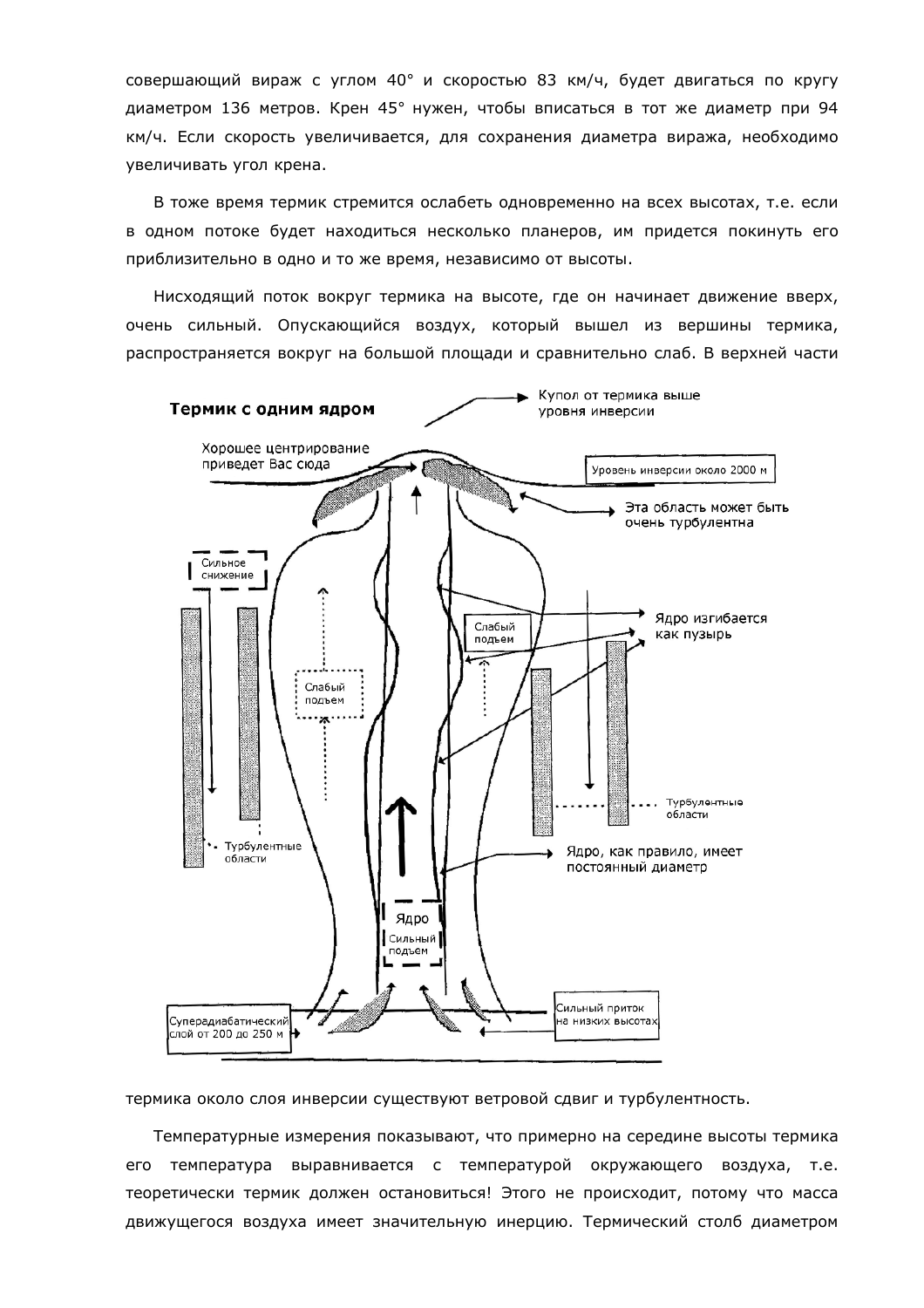совершающий вираж с углом 40° и скоростью 83 км/ч, будет двигаться по кругу диаметром 136 метров. Крен 45° нужен, чтобы вписаться в тот же диаметр при 94 км/ч. Если скорость увеличивается, для сохранения диаметра виража, необходимо увеличивать угол крена.

В тоже время термик стремится ослабеть одновременно на всех высотах, т.е. если в одном потоке будет находиться несколько планеров, им придется покинуть его приблизительно в одно и то же время, независимо от высоты.

Нисходящий поток вокруг термика на высоте, где он начинает движение вверх, очень сильный. Опускающийся воздух, который вышел из вершины термика, распространяется вокруг на большой площади и сравнительно слаб. В верхней части



термика около слоя инверсии существуют ветровой сдвиг и турбулентность.

Температурные измерения показывают, что примерно на середине высоты термика его температура выравнивается с температурой окружающего воздуха, т.е. теоретически термик должен остановиться! Этого не происходит, потому что масса движущегося воздуха имеет значительную инерцию. Термический столб диаметром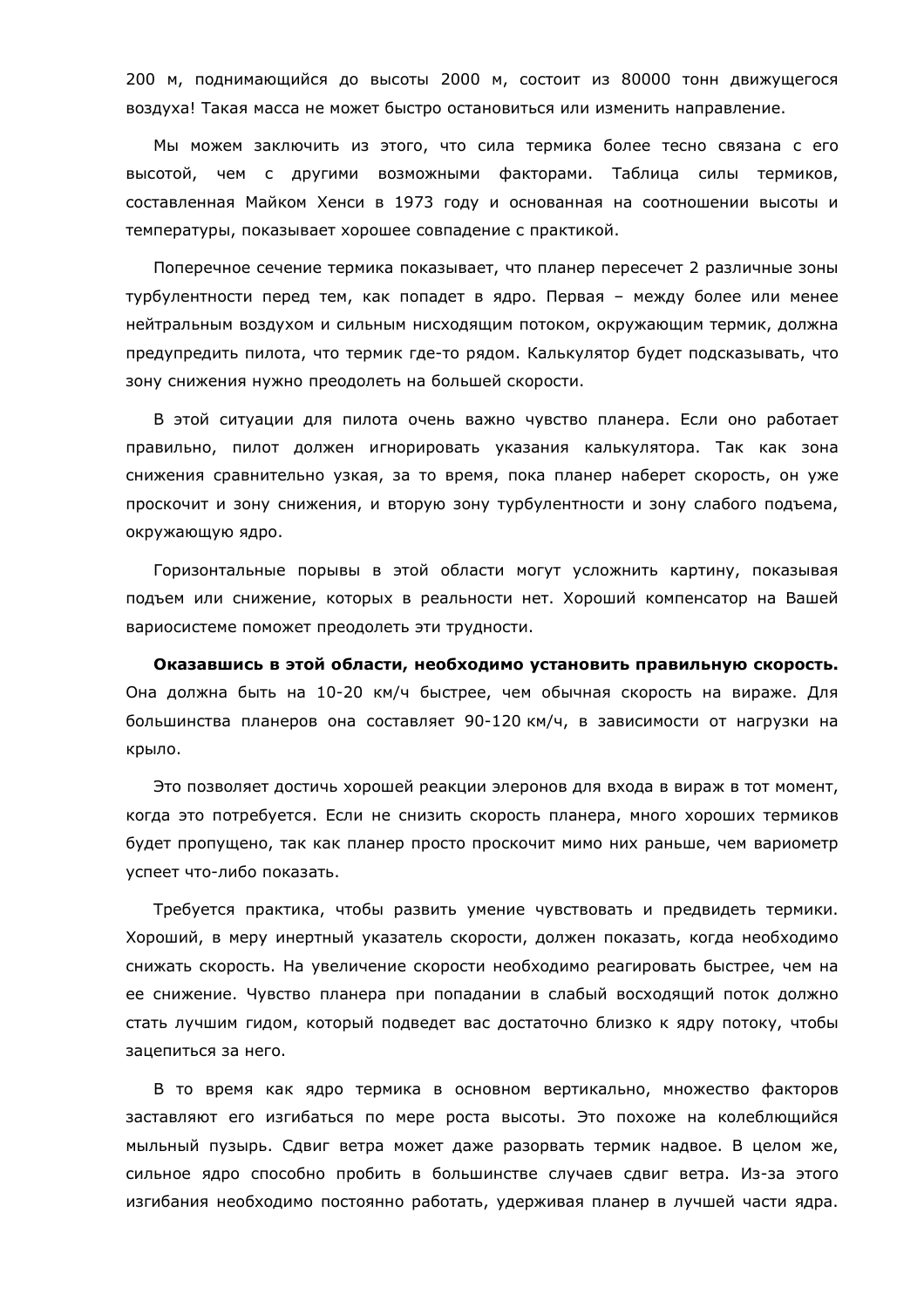200 м, поднимающийся до высоты 2000 м, состоит из 80000 тонн движущегося воздуха! Такая масса не может быстро остановиться или изменить направление.

Мы можем заключить из этого, что сила термика более тесно связана с его высотой, чем с другими возможными факторами. Таблица силы термиков, составленная Майком Хенси в 1973 году и основанная на соотношении высоты и температуры, показывает хорошее совпадение с практикой.

Поперечное сечение термика показывает, что планер пересечет 2 различные зоны турбулентности перед тем, как попадет в ядро. Первая - между более или менее нейтральным воздухом и сильным нисходящим потоком, окружающим термик, должна предупредить пилота, что термик где-то рядом. Калькулятор будет подсказывать, что зону снижения нужно преодолеть на большей скорости.

В этой ситуации для пилота очень важно чувство планера. Если оно работает правильно, пилот должен игнорировать указания калькулятора. Так как зона снижения сравнительно узкая, за то время, пока планер наберет скорость, он уже проскочит и зону снижения, и вторую зону турбулентности и зону слабого подъема, окружающую ядро.

Горизонтальные порывы в этой области могут усложнить картину, показывая подъем или снижение, которых в реальности нет. Хороший компенсатор на Вашей вариосистеме поможет преодолеть эти трудности.

Оказавшись в этой области, необходимо установить правильную скорость. Она должна быть на 10-20 км/ч быстрее, чем обычная скорость на вираже. Для большинства планеров она составляет 90-120 км/ч, в зависимости от нагрузки на крыло.

Это позволяет достичь хорошей реакции элеронов для входа в вираж в тот момент, когда это потребуется. Если не снизить скорость планера, много хороших термиков будет пропущено, так как планер просто проскочит мимо них раньше, чем вариометр успеет что-либо показать.

Требуется практика, чтобы развить умение чувствовать и предвидеть термики. Хороший, в меру инертный указатель скорости, должен показать, когда необходимо снижать скорость. На увеличение скорости необходимо реагировать быстрее, чем на ее снижение. Чувство планера при попадании в слабый восходящий поток должно стать лучшим гидом, который подведет вас достаточно близко к ядру потоку, чтобы зацепиться за него.

В то время как ядро термика в основном вертикально, множество факторов заставляют его изгибаться по мере роста высоты. Это похоже на колеблющийся мыльный пузырь. Сдвиг ветра может даже разорвать термик надвое. В целом же, сильное ядро способно пробить в большинстве случаев сдвиг ветра. Из-за этого изгибания необходимо постоянно работать, удерживая планер в лучшей части ядра.